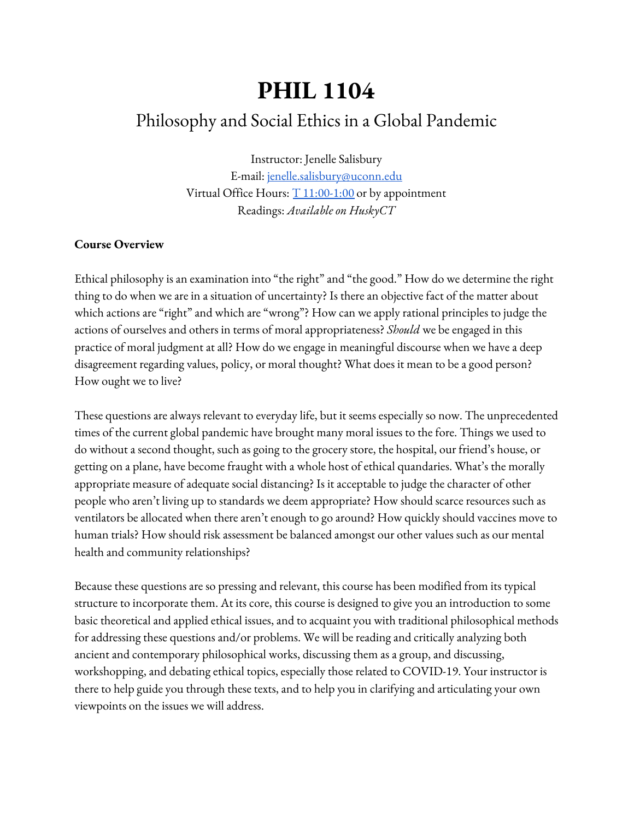# **PHIL 1104**

# Philosophy and Social Ethics in a Global Pandemic

Instructor: Jenelle Salisbury E-mail: [jenelle.salisbury@uconn.edu](mailto:jenelle.salisbury@uconn.edu) Virtual Office Hours:  $T_11:00-1:00$  $T_11:00-1:00$  or by appointment Readings: *Available on HuskyCT*

#### **Course Overview**

Ethical philosophy is an examination into "the right" and "the good." How do we determine the right thing to do when we are in a situation of uncertainty? Is there an objective fact of the matter about which actions are "right" and which are "wrong"? How can we apply rational principles to judge the actions of ourselves and others in terms of moral appropriateness? *Should* we be engaged in this practice of moral judgment at all? How do we engage in meaningful discourse when we have a deep disagreement regarding values, policy, or moral thought? What does it mean to be a good person? How ought we to live?

These questions are always relevant to everyday life, but it seems especially so now. The unprecedented times of the current global pandemic have brought many moral issues to the fore. Things we used to do without a second thought, such as going to the grocery store, the hospital, our friend's house, or getting on a plane, have become fraught with a whole host of ethical quandaries. What's the morally appropriate measure of adequate social distancing? Is it acceptable to judge the character of other people who aren't living up to standards we deem appropriate? How should scarce resources such as ventilators be allocated when there aren't enough to go around? How quickly should vaccines move to human trials? How should risk assessment be balanced amongst our other values such as our mental health and community relationships?

Because these questions are so pressing and relevant, this course has been modified from its typical structure to incorporate them. At its core, this course is designed to give you an introduction to some basic theoretical and applied ethical issues, and to acquaint you with traditional philosophical methods for addressing these questions and/or problems. We will be reading and critically analyzing both ancient and contemporary philosophical works, discussing them as a group, and discussing, workshopping, and debating ethical topics, especially those related to COVID-19. Your instructor is there to help guide you through these texts, and to help you in clarifying and articulating your own viewpoints on the issues we will address.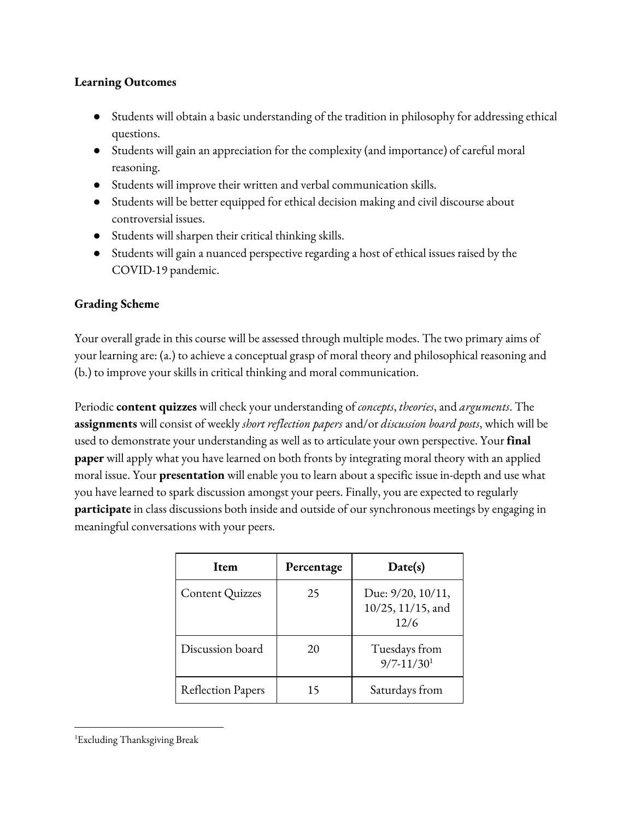#### **Learning Outcomes**

- Students will obtain a basic understanding of the tradition in philosophy for addressing ethical questions.
- Students will gain an appreciation for the complexity (and importance) of careful moral reasoning.
- Students will improve their written and verbal communication skills.
- Students will be better equipped for ethical decision making and civil discourse about controversial issues.
- Students will sharpen their critical thinking skills.
- Students will gain a nuanced perspective regarding a host of ethical issues raised by the COVID-19 pandemic.

### **Grading Scheme**

Your overall grade in this course will be assessed through multiple modes. The two primary aims of your learning are: (a.) to achieve a conceptual grasp of moral theory and philosophical reasoning and (b.) to improve your skills in critical thinking and moral communication.

Periodic **content quizzes** will check your understanding of *concepts*, *theories*, and *arguments*. The **assignments** will consist of weekly *short reflection papers* and/or *discussion board posts*, which will be used to demonstrate your understanding as well as to articulate your own perspective. Your **final paper** will apply what you have learned on both fronts by integrating moral theory with an applied moral issue. Your **presentation** will enable you to learn about a specific issue in-depth and use what you have learned to spark discussion amongst your peers. Finally, you are expected to regularly **participate** in class discussions both inside and outside of our synchronous meetings by engaging in meaningful conversations with your peers.

| Item                     | Percentage | Date(s)                                              |
|--------------------------|------------|------------------------------------------------------|
| Content Quizzes          | 25         | Due: $9/20$ , $10/11$ ,<br>10/25, 11/15, and<br>12/6 |
| Discussion board         | 20         | Tuesdays from<br>$9/7 - 11/30$ <sup>1</sup>          |
| <b>Reflection Papers</b> | 15         | Saturdays from                                       |

<sup>1</sup>Excluding Thanksgiving Break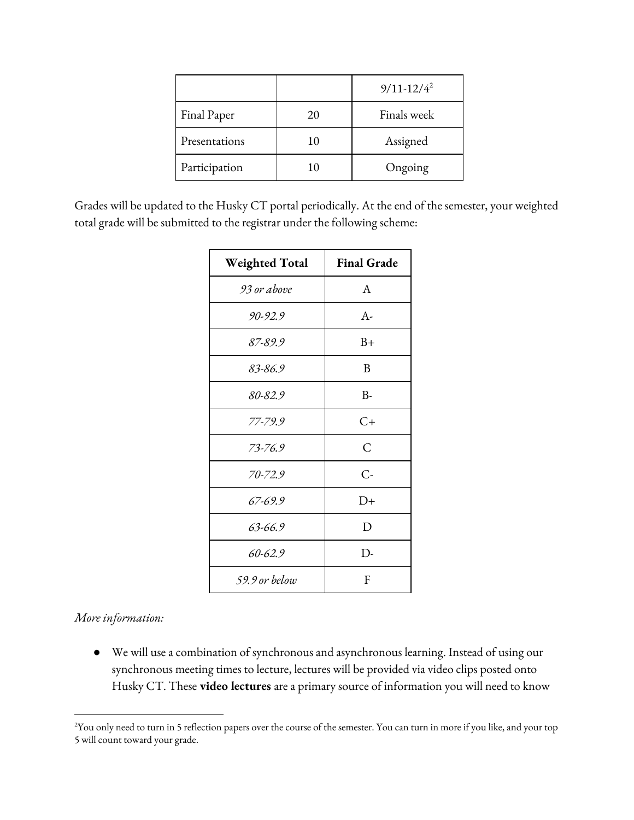|               |    | $9/11 - 12/4^2$ |
|---------------|----|-----------------|
| Final Paper   | 20 | Finals week     |
| Presentations | 10 | Assigned        |
| Participation | 10 | Ongoing         |

Grades will be updated to the Husky CT portal periodically. At the end of the semester, your weighted total grade will be submitted to the registrar under the following scheme:

| <b>Weighted Total</b> | <b>Final Grade</b> |
|-----------------------|--------------------|
| 93 or above           | A                  |
| 90-92.9               | $A-$               |
| 87-89.9               | $B+$               |
| 83-86.9               | B                  |
| 80-82.9               | $B-$               |
| 77-79.9               | $C+$               |
| 73-76.9               | $\mathcal{C}$      |
| $70 - 72.9$           | С-                 |
| 67-69.9               | $D+$               |
| $63 - 66.9$           | D                  |
| $60 - 62.9$           | $D-$               |
| 59.9 or below         | F                  |

#### *More information:*

● We will use a combination of synchronous and asynchronous learning. Instead of using our synchronous meeting times to lecture, lectures will be provided via video clips posted onto Husky CT. These **video lectures** are a primary source of information you will need to know

<sup>&</sup>lt;sup>2</sup>You only need to turn in 5 reflection papers over the course of the semester. You can turn in more if you like, and your top 5 will count toward your grade.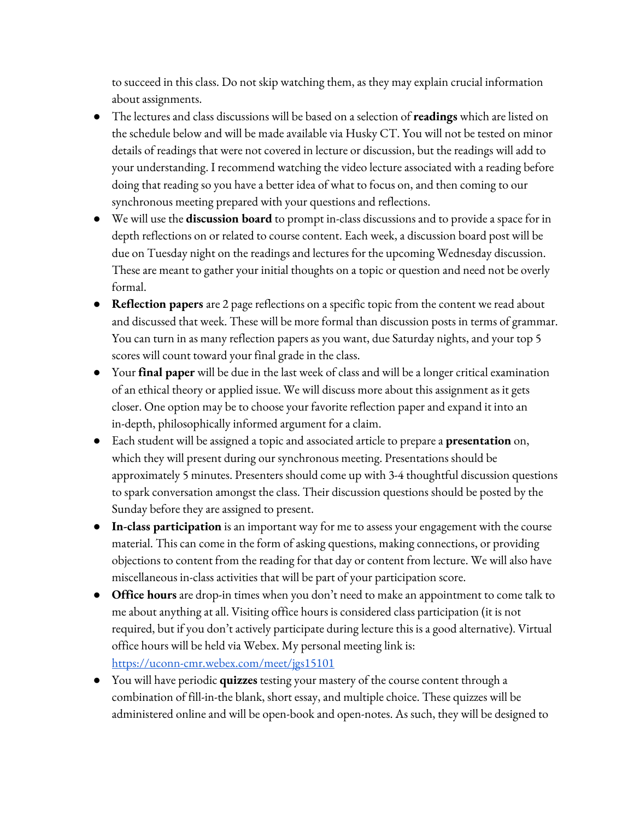to succeed in this class. Do not skip watching them, as they may explain crucial information about assignments.

- The lectures and class discussions will be based on a selection of **readings** which are listed on the schedule below and will be made available via Husky CT. You will not be tested on minor details of readings that were not covered in lecture or discussion, but the readings will add to your understanding. I recommend watching the video lecture associated with a reading before doing that reading so you have a better idea of what to focus on, and then coming to our synchronous meeting prepared with your questions and reflections.
- We will use the **discussion board** to prompt in-class discussions and to provide a space for in depth reflections on or related to course content. Each week, a discussion board post will be due on Tuesday night on the readings and lectures for the upcoming Wednesday discussion. These are meant to gather your initial thoughts on a topic or question and need not be overly formal.
- **Reflection papers** are 2 page reflections on a specific topic from the content we read about and discussed that week. These will be more formal than discussion posts in terms of grammar. You can turn in as many reflection papers as you want, due Saturday nights, and your top 5 scores will count toward your final grade in the class.
- Your **final paper** will be due in the last week of class and will be a longer critical examination of an ethical theory or applied issue. We will discuss more about this assignment as it gets closer. One option may be to choose your favorite reflection paper and expand it into an in-depth, philosophically informed argument for a claim.
- Each student will be assigned a topic and associated article to prepare a **presentation** on, which they will present during our synchronous meeting. Presentations should be approximately 5 minutes. Presenters should come up with 3-4 thoughtful discussion questions to spark conversation amongst the class. Their discussion questions should be posted by the Sunday before they are assigned to present.
- **In-class participation** is an important way for me to assess your engagement with the course material. This can come in the form of asking questions, making connections, or providing objections to content from the reading for that day or content from lecture. We will also have miscellaneous in-class activities that will be part of your participation score.
- **● Office hours** are drop-in times when you don't need to make an appointment to come talk to me about anything at all. Visiting office hours is considered class participation (it is not required, but if you don't actively participate during lecture this is a good alternative). Virtual office hours will be held via Webex. My personal meeting link is: <https://uconn-cmr.webex.com/meet/jgs15101>
- You will have periodic **quizzes** testing your mastery of the course content through a combination of fill-in-the blank, short essay, and multiple choice. These quizzes will be administered online and will be open-book and open-notes. As such, they will be designed to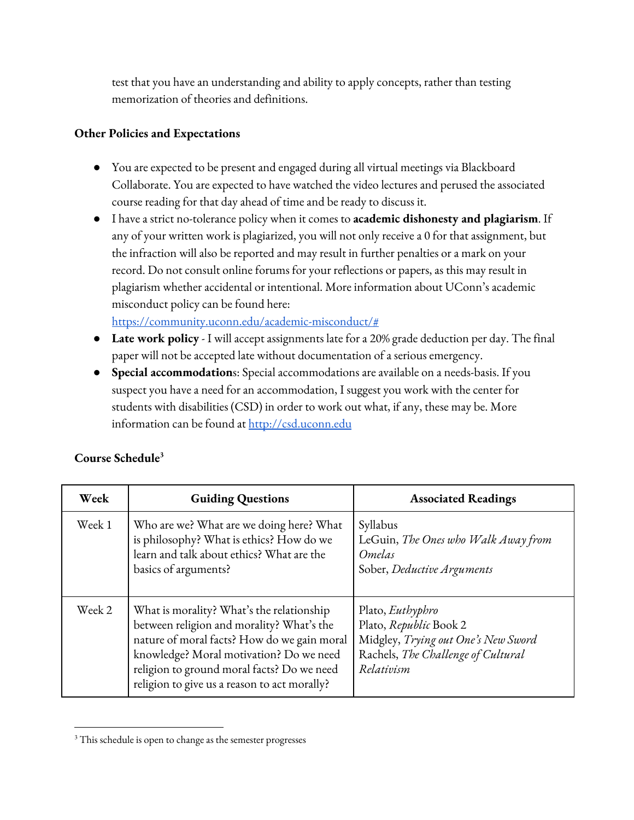test that you have an understanding and ability to apply concepts, rather than testing memorization of theories and definitions.

#### **Other Policies and Expectations**

- You are expected to be present and engaged during all virtual meetings via Blackboard Collaborate. You are expected to have watched the video lectures and perused the associated course reading for that day ahead of time and be ready to discuss it.
- I have a strict no-tolerance policy when it comes to **academic dishonesty and plagiarism**. If any of your written work is plagiarized, you will not only receive a 0 for that assignment, but the infraction will also be reported and may result in further penalties or a mark on your record. Do not consult online forums for your reflections or papers, as this may result in plagiarism whether accidental or intentional. More information about UConn's academic misconduct policy can be found here:

<https://community.uconn.edu/academic-misconduct/#>

- **Late work policy** I will accept assignments late for a 20% grade deduction per day. The final paper will not be accepted late without documentation of a serious emergency.
- **Special accommodation**s: Special accommodations are available on a needs-basis. If you suspect you have a need for an accommodation, I suggest you work with the center for students with disabilities (CSD) in order to work out what, if any, these may be. More information can be found at [http://csd.uconn.edu](http://csd.uconn.edu/)

| Week   | <b>Guiding Questions</b>                                                                                                                                                                                                                                                       | <b>Associated Readings</b>                                                                                                                   |
|--------|--------------------------------------------------------------------------------------------------------------------------------------------------------------------------------------------------------------------------------------------------------------------------------|----------------------------------------------------------------------------------------------------------------------------------------------|
| Week 1 | Who are we? What are we doing here? What<br>is philosophy? What is ethics? How do we<br>learn and talk about ethics? What are the<br>basics of arguments?                                                                                                                      | Syllabus<br>LeGuin, The Ones who Walk Away from<br>Omelas<br>Sober, Deductive Arguments                                                      |
| Week 2 | What is morality? What's the relationship<br>between religion and morality? What's the<br>nature of moral facts? How do we gain moral<br>knowledge? Moral motivation? Do we need<br>religion to ground moral facts? Do we need<br>religion to give us a reason to act morally? | Plato, <i>Euthyphro</i><br>Plato, Republic Book 2<br>Midgley, Trying out One's New Sword<br>Rachels, The Challenge of Cultural<br>Relativism |

## **Course Schedule 3**

<sup>&</sup>lt;sup>3</sup> This schedule is open to change as the semester progresses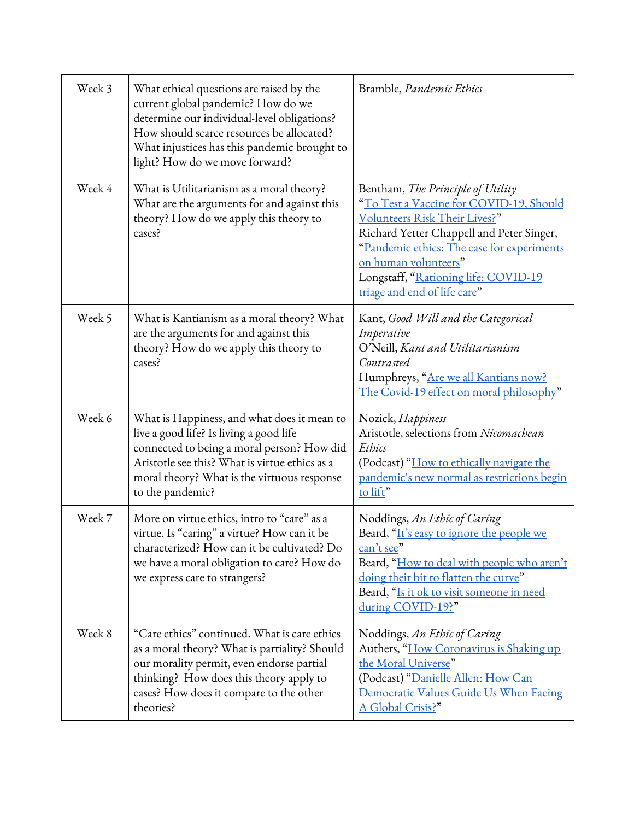| Week 3 | What ethical questions are raised by the<br>current global pandemic? How do we<br>determine our individual-level obligations?<br>How should scarce resources be allocated?<br>What injustices has this pandemic brought to<br>light? How do we move forward? | Bramble, <i>Pandemic Ethics</i>                                                                                                                                                                                                                                                                          |
|--------|--------------------------------------------------------------------------------------------------------------------------------------------------------------------------------------------------------------------------------------------------------------|----------------------------------------------------------------------------------------------------------------------------------------------------------------------------------------------------------------------------------------------------------------------------------------------------------|
| Week 4 | What is Utilitarianism as a moral theory?<br>What are the arguments for and against this<br>theory? How do we apply this theory to<br>cases?                                                                                                                 | Bentham, The Principle of Utility<br>"To Test a Vaccine for COVID-19, Should<br>Volunteers Risk Their Lives?"<br>Richard Yetter Chappell and Peter Singer,<br>"Pandemic ethics: The case for experiments<br>on human volunteers"<br>Longstaff, "Rationing life: COVID-19<br>triage and end of life care" |
| Week 5 | What is Kantianism as a moral theory? What<br>are the arguments for and against this<br>theory? How do we apply this theory to<br>cases?                                                                                                                     | Kant, Good Will and the Categorical<br>Imperative<br>O'Neill, Kant and Utilitarianism<br>Contrasted<br>Humphreys, "Are we all Kantians now?<br>The Covid-19 effect on moral philosophy"                                                                                                                  |
| Week 6 | What is Happiness, and what does it mean to<br>live a good life? Is living a good life<br>connected to being a moral person? How did<br>Aristotle see this? What is virtue ethics as a<br>moral theory? What is the virtuous response<br>to the pandemic?    | Nozick, Happiness<br>Aristotle, selections from Nicomachean<br>Ethics<br>(Podcast) "How to ethically navigate the<br>pandemic's new normal as restrictions begin<br>to lift"                                                                                                                             |
| Week 7 | More on virtue ethics, intro to "care" as a<br>virtue. Is "caring" a virtue? How can it be<br>characterized? How can it be cultivated? Do<br>we have a moral obligation to care? How do<br>we express care to strangers?                                     | Noddings, An Ethic of Caring<br>Beard, "It's easy to ignore the people we<br>can't see"<br>Beard, "How to deal with people who aren't<br>doing their bit to flatten the curve"<br>Beard, "Is it ok to visit someone in need<br>during COVID-19?"                                                         |
| Week 8 | "Care ethics" continued. What is care ethics<br>as a moral theory? What is partiality? Should<br>our morality permit, even endorse partial<br>thinking? How does this theory apply to<br>cases? How does it compare to the other<br>theories?                | Noddings, An Ethic of Caring<br>Authers, "How Coronavirus is Shaking up<br>the Moral Universe"<br>(Podcast) "Danielle Allen: How Can<br>Democratic Values Guide Us When Facing<br>A Global Crisis?"                                                                                                      |